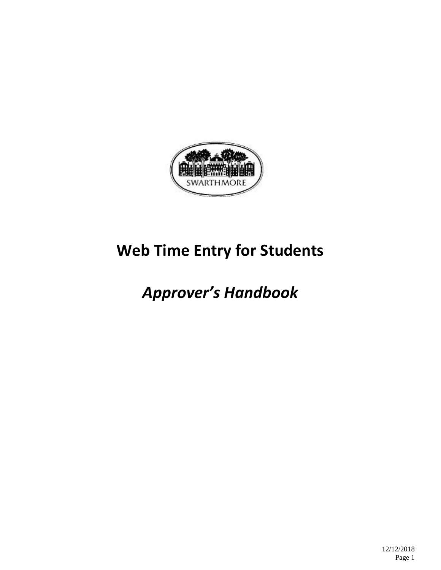

# **Web Time Entry for Students**

# *Approver's Handbook*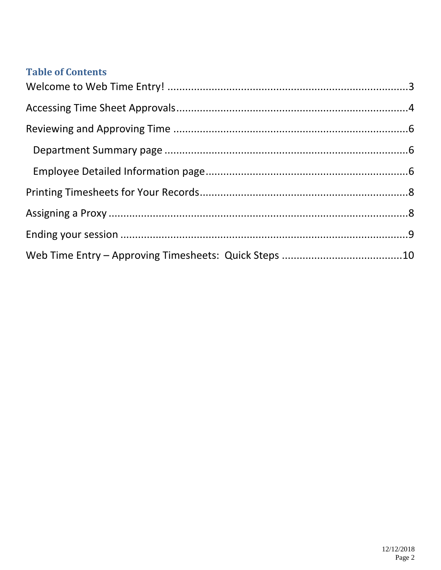#### **Table of Contents**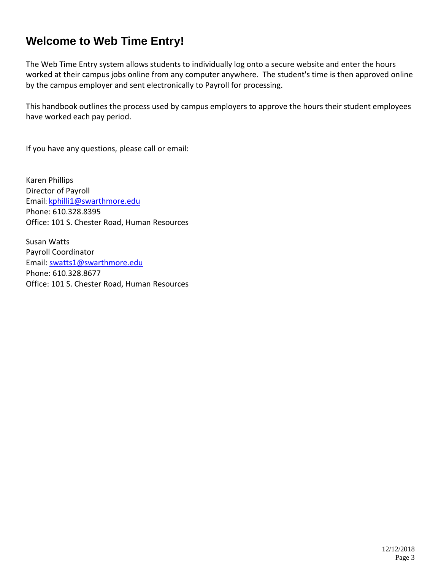### <span id="page-2-0"></span>**Welcome to Web Time Entry!**

The Web Time Entry system allows students to individually log onto a secure website and enter the hours worked at their campus jobs online from any computer anywhere. The student's time is then approved online by the campus employer and sent electronically to Payroll for processing.

This handbook outlines the process used by campus employers to approve the hours their student employees have worked each pay period.

If you have any questions, please call or email:

Karen Phillips Director of Payroll Email[: kphilli1@swarthmore.edu](mailto:kphilli1@swarthmore.edu) Phone: 610.328.8395 Office: 101 S. Chester Road, Human Resources

Susan Watts Payroll Coordinator Email: [swatts1@swarthmore.edu](mailto:swatts1@swarthmore.edu) Phone: 610.328.8677 Office: 101 S. Chester Road, Human Resources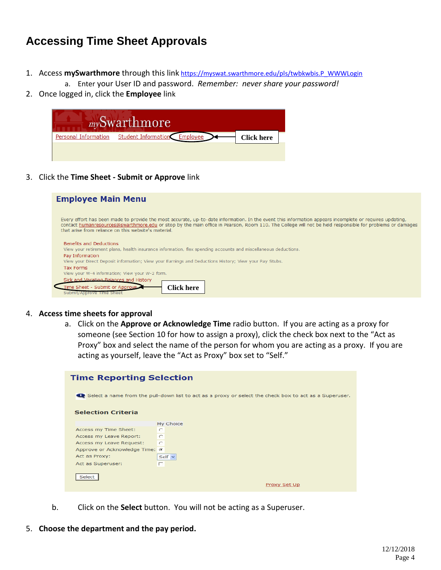### <span id="page-3-0"></span>**Accessing Time Sheet Approvals**

- 1. Access mySwarthmore through this link [https://myswat.swarthmore.edu/pls/twbkwbis.P\\_WWWLogin](https://myswat.swarthmore.edu/pls/twbkwbis.P_WWWLogin)
	- a. Enter your User ID and password. *Remember: never share your password!*
- 2. Once logged in, click the **Employee** link



3. Click the **Time Sheet - [Submit or Approve](https://myswat.swarthmore.edu/pls/bwpktais.P_SelectTimeSheetRoll)** link

| <b>Employee Main Menu</b>                                                                                                                                                                                                                                                                                                                                                  |
|----------------------------------------------------------------------------------------------------------------------------------------------------------------------------------------------------------------------------------------------------------------------------------------------------------------------------------------------------------------------------|
| Every effort has been made to provide the most accurate, up-to-date information. In the event this information appears incomplete or requires updating,<br>contact humanresources@swarthmore.edu or stop by the main office in Pearson, Room 110. The College will not be held responsible for problems or damages<br>that arise from reliance on this website's material. |
| <b>Benefits and Deductions</b><br>View your retirement plans, health insurance information, flex spending accounts and miscellaneous deductions.<br>Pay Information<br>View your Direct Deposit information; View your Earnings and Deductions History; View your Pay Stubs.                                                                                               |
| <b>Tax Forms</b><br>View your W-4 information; View your W-2 form.<br>Sick and Vacation Balances and History<br>Time Sheet - Submit or Approve<br>`lick here<br>Submit/Approve Time Sheet                                                                                                                                                                                  |

- 4. **Access time sheets for approval**
	- a. Click on the **Approve or Acknowledge Time** radio button. If you are acting as a proxy for someone (see Section 10 for how to assign a proxy), click the check box next to the "Act as Proxy" box and select the name of the person for whom you are acting as a proxy. If you are acting as yourself, leave the "Act as Proxy" box set to "Self."

| <b>Time Reporting Selection</b> |                                                                                                                 |
|---------------------------------|-----------------------------------------------------------------------------------------------------------------|
|                                 | Consider Select a name from the pull-down list to act as a proxy or select the check box to act as a Superuser. |
| <b>Selection Criteria</b>       |                                                                                                                 |
|                                 | My Choice                                                                                                       |
| Access my Time Sheet:           | O                                                                                                               |
| Access my Leave Report:         | $\subset$                                                                                                       |
| Access my Leave Request:        | $\sim$                                                                                                          |
| Approve or Acknowledge Time: ©  |                                                                                                                 |
| Act as Proxy:                   | Self $\vee$                                                                                                     |
| Act as Superuser:               | п                                                                                                               |
| Select                          | Proxy Set Up                                                                                                    |

- b. Click on the **Select** button. You will not be acting as a Superuser.
- 5. **Choose the department and the pay period.**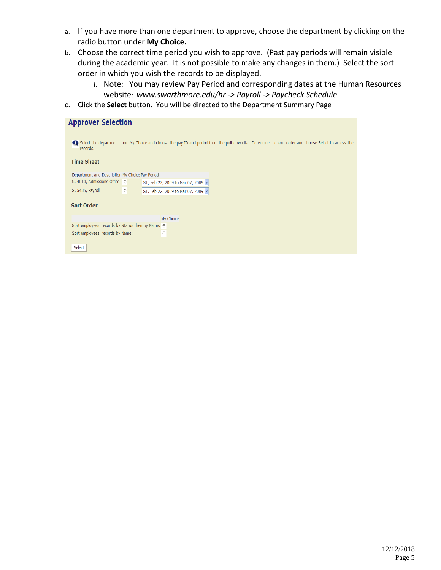- a. If you have more than one department to approve, choose the department by clicking on the radio button under **My Choice.**
- b. Choose the correct time period you wish to approve. (Past pay periods will remain visible during the academic year. It is not possible to make any changes in them.) Select the sort order in which you wish the records to be displayed.
	- i. Note: You may review Pay Period and corresponding dates at the Human Resources website: *www.swarthmore.edu/hr -> Payroll -> Paycheck Schedule*
- c. Click the **Select** button. You will be directed to the Department Summary Page

#### **Approver Selection**

Select the department from My Choice and choose the pay ID and period from the pull-down list. Determine the sort order and choose Select to access the records.

#### **Time Sheet**

| Department and Description My Choice Pay Period |  |                                    |
|-------------------------------------------------|--|------------------------------------|
| S, 4010, Admissions Office G                    |  | ST, Feb 22, 2009 to Mar 07, 2009 v |
| S, 5435, Payroll                                |  | ST, Feb 22, 2009 to Mar 07, 2009 v |

#### **Sort Order**

|                                                   |   | My Choice |
|---------------------------------------------------|---|-----------|
| Sort employees' records by Status then by Name: G |   |           |
| Sort employees' records by Name:                  | O |           |
|                                                   |   |           |

Select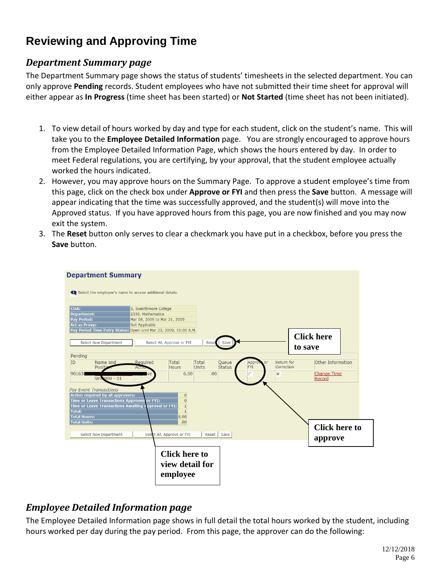# <span id="page-5-0"></span>**Reviewing and Approving Time**

#### <span id="page-5-1"></span>*Department Summary page*

The Department Summary page shows the status of students' timesheets in the selected department. You can only approve **Pending** records. Student employees who have not submitted their time sheet for approval will either appear as **In Progress** (time sheet has been started) or **Not Started** (time sheet has not been initiated).

- 1. To view detail of hours worked by day and type for each student, click on the student's name. This will take you to the **Employee Detailed Information** page. You are strongly encouraged to approve hours from the Employee Detailed Information Page, which shows the hours entered by day. In order to meet Federal regulations, you are certifying, by your approval, that the student employee actually worked the hours indicated.
- 2. However, you may approve hours on the Summary Page. To approve a student employee's time from this page, click on the check box under **Approve or FYI** and then press the **Save** button. A message will appear indicating that the time was successfully approved, and the student(s) will move into the Approved status. If you have approved hours from this page, you are now finished and you may now exit the system.
- 3. The **Reset** button only serves to clear a checkmark you have put in a checkbox, before you press the **Save** button.



#### <span id="page-5-2"></span>*Employee Detailed Information page*

The Employee Detailed Information page shows in full detail the total hours worked by the student, including hours worked per day during the pay period. From this page, the approver can do the following: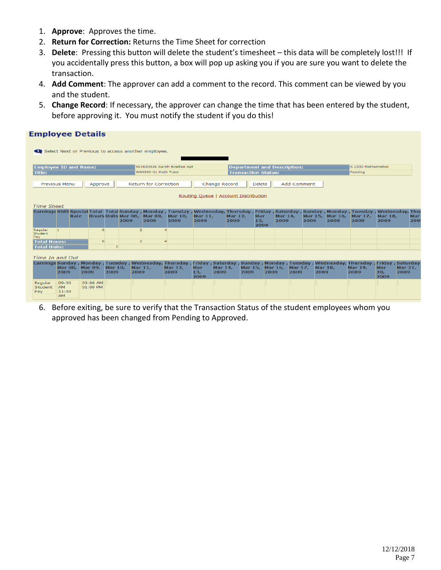- 1. **Approve**: Approves the time.
- 2. **Return for Correction:** Returns the Time Sheet for correction
- 3. **Delete**: Pressing this button will delete the student's timesheet this data will be completely lost!!! If you accidentally press this button, a box will pop up asking you if you are sure you want to delete the transaction.
- 4. **Add Comment**: The approver can add a comment to the record. This comment can be viewed by you and the student.
- 5. **Change Record**: If necessary, the approver can change the time that has been entered by the student, before approving it. You must notify the student if you do this!

| <b>Time Sheet</b>                  |                            |                                                 |                                                                                 |                                              |                                   |                                                     |                                                                                                                                                                       |                             |                |                                         |                 |                                                    |                                                                                |                                                       |                                       |                        |                                                          |                        |                                                                                                                                                                                                                                                                                                                                           |
|------------------------------------|----------------------------|-------------------------------------------------|---------------------------------------------------------------------------------|----------------------------------------------|-----------------------------------|-----------------------------------------------------|-----------------------------------------------------------------------------------------------------------------------------------------------------------------------|-----------------------------|----------------|-----------------------------------------|-----------------|----------------------------------------------------|--------------------------------------------------------------------------------|-------------------------------------------------------|---------------------------------------|------------------------|----------------------------------------------------------|------------------------|-------------------------------------------------------------------------------------------------------------------------------------------------------------------------------------------------------------------------------------------------------------------------------------------------------------------------------------------|
|                                    |                            |                                                 |                                                                                 | 2009                                         | 2009                              | 2009                                                | 2009                                                                                                                                                                  |                             |                |                                         | 13,             |                                                    |                                                                                |                                                       | 2009                                  | 2009                   | 2009                                                     | 200                    |                                                                                                                                                                                                                                                                                                                                           |
|                                    |                            |                                                 |                                                                                 |                                              |                                   |                                                     |                                                                                                                                                                       |                             |                |                                         |                 |                                                    |                                                                                |                                                       |                                       |                        |                                                          |                        |                                                                                                                                                                                                                                                                                                                                           |
| <b>Total Units:</b>                |                            |                                                 |                                                                                 |                                              |                                   |                                                     |                                                                                                                                                                       |                             |                |                                         |                 |                                                    |                                                                                |                                                       |                                       |                        |                                                          |                        |                                                                                                                                                                                                                                                                                                                                           |
|                                    |                            |                                                 |                                                                                 |                                              |                                   |                                                     |                                                                                                                                                                       |                             |                |                                         |                 |                                                    |                                                                                |                                                       |                                       |                        |                                                          |                        |                                                                                                                                                                                                                                                                                                                                           |
| 2009                               |                            |                                                 |                                                                                 |                                              |                                   |                                                     | Mar<br>13,<br>2009                                                                                                                                                    |                             |                | 2009                                    |                 |                                                    | 2009                                                                           |                                                       |                                       |                        | Mar<br>20,<br>2009                                       | <b>Mar 21,</b><br>2009 |                                                                                                                                                                                                                                                                                                                                           |
| 09:00<br>AM.<br>11:00<br><b>AM</b> |                            |                                                 |                                                                                 |                                              |                                   |                                                     |                                                                                                                                                                       |                             |                |                                         |                 |                                                    |                                                                                |                                                       |                                       |                        |                                                          |                        |                                                                                                                                                                                                                                                                                                                                           |
|                                    | 11.<br><b>Total Hours:</b> | <b>Previous Menu</b><br>Rate<br>Time In and Out | <b>Employee ID and Name:</b><br>Mar 08, Mar 09,<br>2009<br>09:00 AM<br>01:00 PM | <b>Employee Details</b><br>Approve<br>6<br>6 | $\circ$<br><b>Mar 10,</b><br>2009 | $\overline{2}$<br>$\overline{2}$<br>Mar 11,<br>2009 | Select Next or Previous to access another employee.<br>W99999-01 Math Tutor<br><b>Return for Correction</b><br>Hours Units Mar 08, Mar 09, Mar 10,<br>Mar 12,<br>2009 | 901630836 Sarah Bradlee Apt | <b>Mar 11,</b> | <b>Change Record</b><br>Mar 14,<br>2009 | Mar 12,<br>2009 | Routing Queue   Account Distribution<br><b>Mar</b> | <b>Transaction Status:</b><br><b>Delete</b><br>2009<br>Mar 15, Mar 16,<br>2009 | <b>Department and Description:</b><br>Mar 14,<br>2009 | <b>Add Comment</b><br>2009<br>Mar 17, | <b>Mar 18.</b><br>2009 | Pendina<br>Mar 15, Mar 16,<br>Mar 17,<br>Mar 19,<br>2009 | S 2330 Mathematics     | Earnings Shift Special Total Total Sunday , Monday , Tuesday , Wednesday, Thursday , Friday , Saturday , Sunday , Monday , Tuesday , Wednesday, Thu<br><b>Mar 18.</b><br><b>Mar</b><br>Earnings Sunday , Monday , Tuesday , Wednesday, Thursday , Friday , Saturday , Sunday , Monday , Tuesday , Wednesday, Thursday , Friday , Saturday |

6. Before exiting, be sure to verify that the Transaction Status of the student employees whom you approved has been changed from Pending to Approved.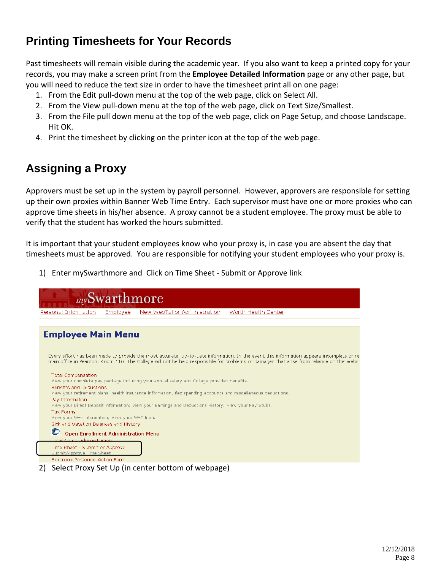## <span id="page-7-0"></span>**Printing Timesheets for Your Records**

Past timesheets will remain visible during the academic year. If you also want to keep a printed copy for your records, you may make a screen print from the **Employee Detailed Information** page or any other page, but you will need to reduce the text size in order to have the timesheet print all on one page:

- 1. From the Edit pull-down menu at the top of the web page, click on Select All.
- 2. From the View pull-down menu at the top of the web page, click on Text Size/Smallest.
- 3. From the File pull down menu at the top of the web page, click on Page Setup, and choose Landscape. Hit OK.
- 4. Print the timesheet by clicking on the printer icon at the top of the web page.

## <span id="page-7-1"></span>**Assigning a Proxy**

Approvers must be set up in the system by payroll personnel. However, approvers are responsible for setting up their own proxies within Banner Web Time Entry. Each supervisor must have one or more proxies who can approve time sheets in his/her absence. A proxy cannot be a student employee. The proxy must be able to verify that the student has worked the hours submitted.

It is important that your student employees know who your proxy is, in case you are absent the day that timesheets must be approved. You are responsible for notifying your student employees who your proxy is.

1) Enter mySwarthmore and Click on Time Sheet - Submit or Approve link



2) Select Proxy Set Up (in center bottom of webpage)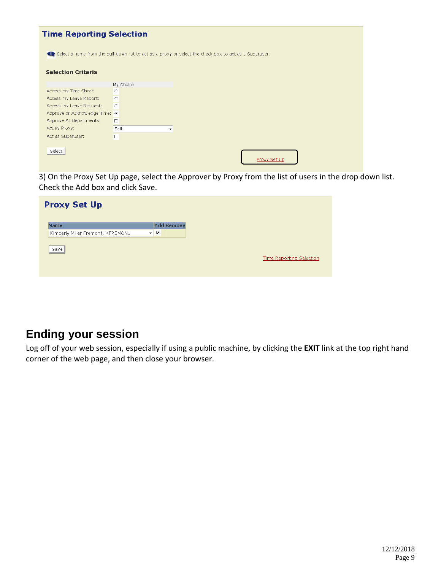| <b>Time Reporting Selection</b> |                                                                                                                     |  |
|---------------------------------|---------------------------------------------------------------------------------------------------------------------|--|
|                                 | Conservation select a name from the pull-down list to act as a proxy or select the check box to act as a Superuser. |  |
| <b>Selection Criteria</b>       |                                                                                                                     |  |
|                                 | My Choice                                                                                                           |  |
| Access my Time Sheet:           | $\circ$                                                                                                             |  |
| Access my Leave Report:         | $\circ$                                                                                                             |  |
| Access my Leave Request:        | $\circ$                                                                                                             |  |
| Approve or Acknowledge Time: @  |                                                                                                                     |  |
| Approve All Departments:        | П.                                                                                                                  |  |
| Act as Proxy:                   | Self<br>$\blacktriangledown$                                                                                        |  |
| Act as Superuser:               | $\Box$                                                                                                              |  |
| Select                          | Proxy Set Up                                                                                                        |  |

3) On the Proxy Set Up page, select the Approver by Proxy from the list of users in the drop down list. Check the Add box and click Save.

| <b>Proxy Set Up</b>                                    |                         |                   |
|--------------------------------------------------------|-------------------------|-------------------|
| <b>Name</b><br>Kimberly Miller Fremont, KFREMON1<br>۰I | $\overline{\mathbf{v}}$ | <b>Add Remove</b> |
| Save                                                   |                         |                   |
|                                                        |                         |                   |
|                                                        |                         |                   |

### <span id="page-8-0"></span>**Ending your session**

Log off of your web session, especially if using a public machine, by clicking the **EXIT** link at the top right hand corner of the web page, and then close your browser.